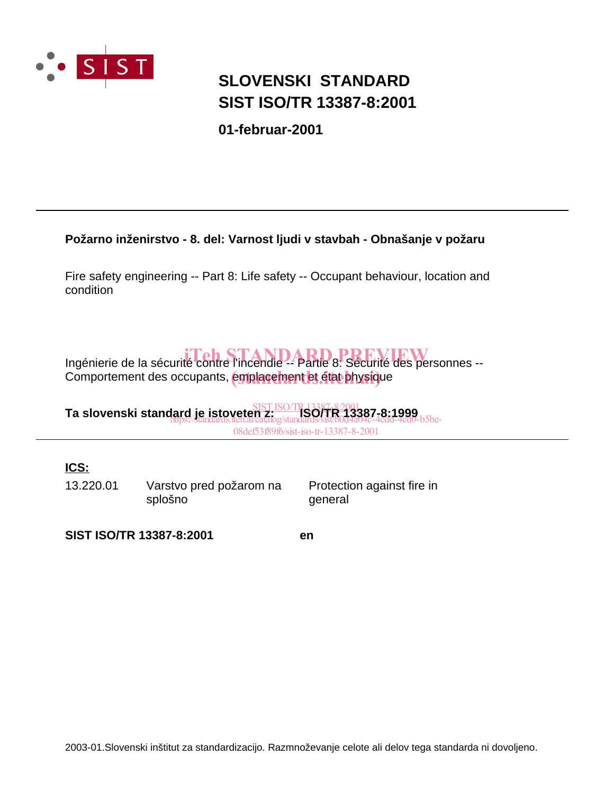

# **SIST ISO/TR 13387-8:2001 SLOVENSKI STANDARD**

**01-februar-2001**

### **Požarno inženirstvo - 8. del: Varnost ljudi v stavbah - Obnašanje v požaru**

Fire safety engineering -- Part 8: Life safety -- Occupant behaviour, location and condition

# Ingénierie de la sécurité contre l'incendie -- Partie 8: Sécurité des personnes --

Comportement des occupants, émplacement et état physique

**Ta slovenski standard je istoveten z: ISO/TR 13387-8:1999** SIST ISO/TR13387-8:2001 https://standards.iteh.ai/catalog/standards/sist/b0d4a04c-4cdd-4cd0-b5be-

08def53f89f6/sist-iso-tr-13387-8-2001

## **ICS:**

13.220.01 Varstvo pred požarom na splošno

Protection against fire in general

**SIST ISO/TR 13387-8:2001 en**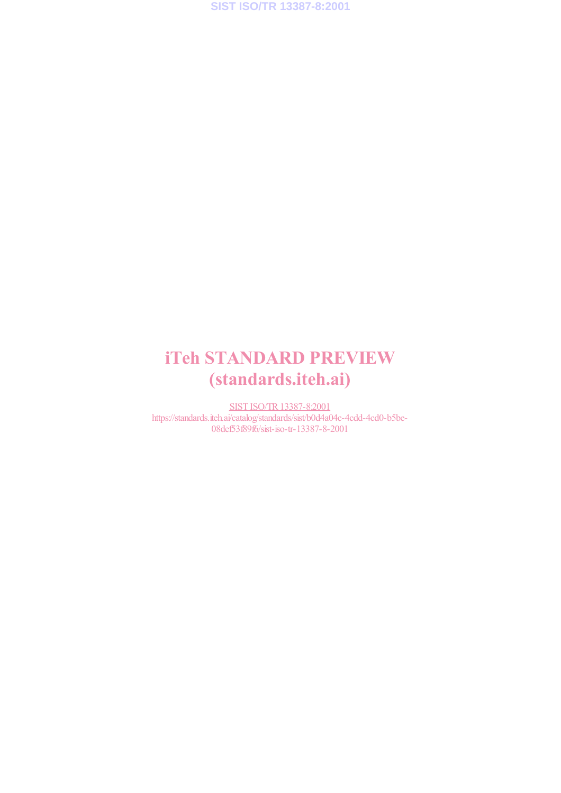# iTeh STANDARD PREVIEW (standards.iteh.ai)

SIST ISO/TR13387-8:2001 https://standards.iteh.ai/catalog/standards/sist/b0d4a04c-4cdd-4cd0-b5be-08def53f89f6/sist-iso-tr-13387-8-2001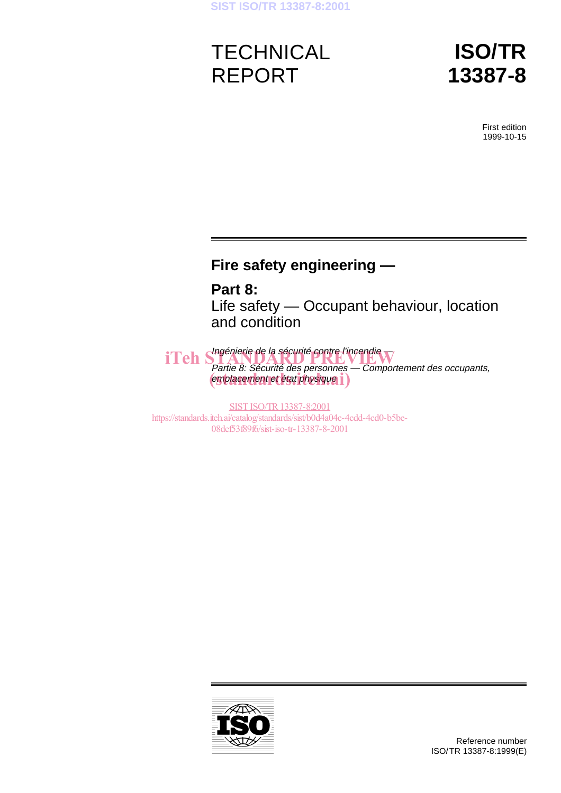# **TECHNICAL** REPORT

# **ISO/TR 13387-8**

First edition 1999-10-15

## **Fire safety engineering —**

**Part 8:** Life safety — Occupant behaviour, location and condition

iTeh Shagénierie de la sécurité contre l'incendie Partie 8: Sécurité des personnes — Comportement des occupants, emplacement et état physique i

SIST ISO/TR 13387-8:2001 https://standards.iteh.ai/catalog/standards/sist/b0d4a04c-4cdd-4cd0-b5be-08def53f89f6/sist-iso-tr-13387-8-2001

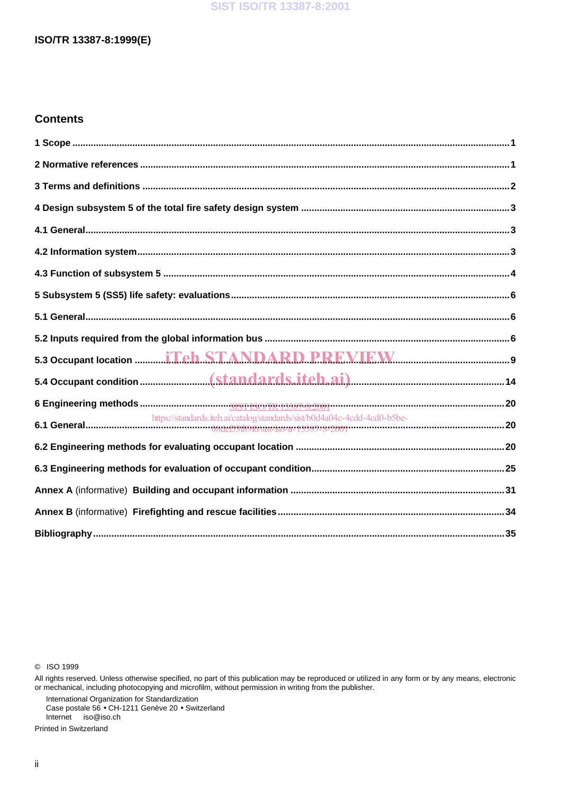#### **SIST ISO/TR 13387-8:2001**

#### ISO/TR 13387-8:1999(E)

#### **Contents**

| https://standards.iteh.ai/catalog/standards/sist/b0d4a04c-4cdd-4cd0-b5be- |  |
|---------------------------------------------------------------------------|--|
|                                                                           |  |
|                                                                           |  |
|                                                                           |  |
|                                                                           |  |
|                                                                           |  |

C ISO 1999

International Organization for Standardization<br>Case postale 56 • CH-1211 Genève 20 • Switzerland Internet iso@iso.ch

Printed in Switzerland

All rights reserved. Unless otherwise specified, no part of this publication may be reproduced or utilized in any form or by any means, electronic or mechanical, including photocopying and microfilm, without permission in writing from the publisher.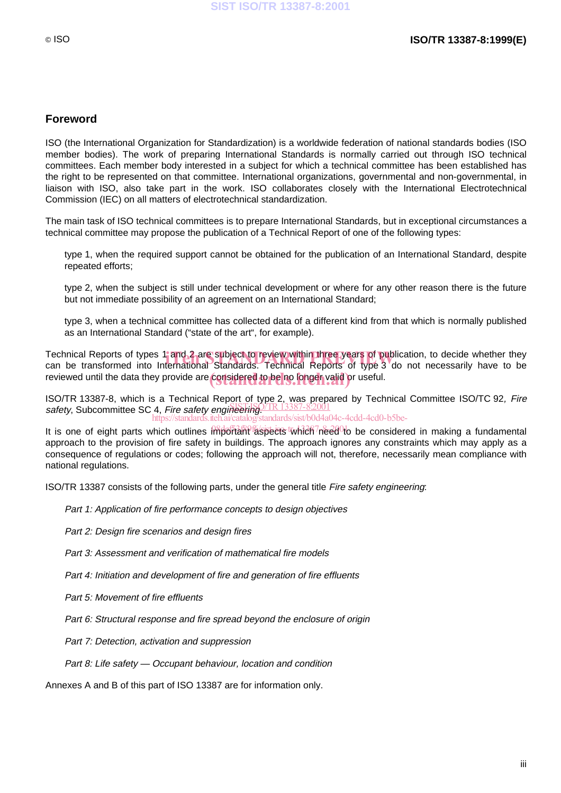#### **Foreword**

ISO (the International Organization for Standardization) is a worldwide federation of national standards bodies (ISO member bodies). The work of preparing International Standards is normally carried out through ISO technical committees. Each member body interested in a subject for which a technical committee has been established has the right to be represented on that committee. International organizations, governmental and non-governmental, in liaison with ISO, also take part in the work. ISO collaborates closely with the International Electrotechnical Commission (IEC) on all matters of electrotechnical standardization.

The main task of ISO technical committees is to prepare International Standards, but in exceptional circumstances a technical committee may propose the publication of a Technical Report of one of the following types:

- type 1, when the required support cannot be obtained for the publication of an International Standard, despite repeated efforts;
- type 2, when the subject is still under technical development or where for any other reason there is the future but not immediate possibility of an agreement on an International Standard;
- type 3, when a technical committee has collected data of a different kind from that which is normally published as an International Standard ("state of the art", for example).

Technical Reports of types 1 and 2 are subject to review within three years of publication, to decide whether they<br>can be transformed into International Standards. Technical Reports of type 3 do not necessarily have to be can be transformed into International Standards. Technical Reports of type 3 do not necessarily have to be reviewed until the data they provide are considered to be no longer valid or useful.

ISO/TR 13387-8, which is a Technical Report of type 2, was prepared by Technical Committee ISO/TC 92, Fire safety, Subcommittee SC 4, Fire safety engineering. TR 13387-8:2001 https://standards.iteh.ai/catalog/standards/sist/b0d4a04c-4cdd-4cd0-b5be-

It is one of eight parts which outlines important laspects which need to be considered in making a fundamental approach to the provision of fire safety in buildings. The approach ignores any constraints which may apply as a consequence of regulations or codes; following the approach will not, therefore, necessarily mean compliance with national regulations.

ISO/TR 13387 consists of the following parts, under the general title Fire safety engineering:

- Part 1: Application of fire performance concepts to design objectives
- Part 2: Design fire scenarios and design fires
- Part 3: Assessment and verification of mathematical fire models
- Part 4: Initiation and development of fire and generation of fire effluents
- Part 5: Movement of fire effluents
- $-$  Part 6: Structural response and fire spread beyond the enclosure of origin
- Part 7: Detection, activation and suppression
- $-$  Part 8: Life safety Occupant behaviour, location and condition

Annexes A and B of this part of ISO 13387 are for information only.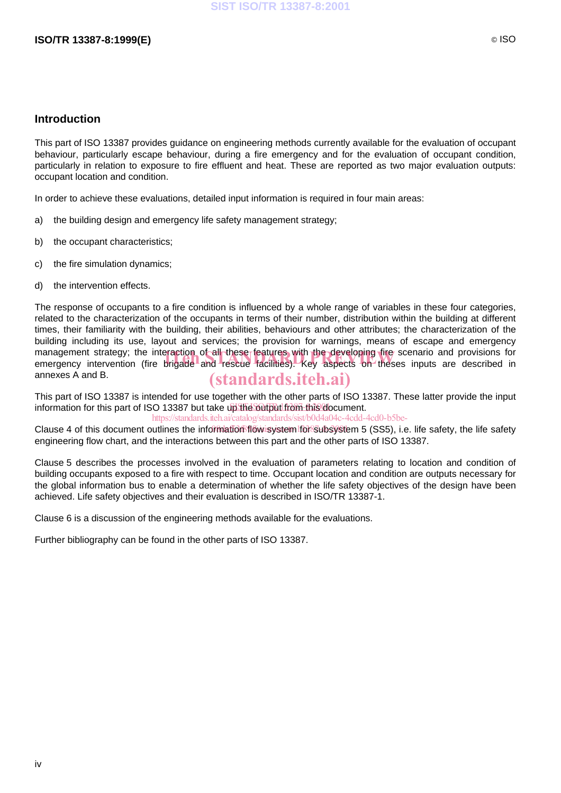#### **Introduction**

This part of ISO 13387 provides guidance on engineering methods currently available for the evaluation of occupant behaviour, particularly escape behaviour, during a fire emergency and for the evaluation of occupant condition, particularly in relation to exposure to fire effluent and heat. These are reported as two major evaluation outputs: occupant location and condition.

In order to achieve these evaluations, detailed input information is required in four main areas:

- a) the building design and emergency life safety management strategy;
- b) the occupant characteristics;
- c) the fire simulation dynamics;
- d) the intervention effects.

The response of occupants to a fire condition is influenced by a whole range of variables in these four categories, related to the characterization of the occupants in terms of their number, distribution within the building at different times, their familiarity with the building, their abilities, behaviours and other attributes; the characterization of the building including its use, layout and services; the provision for warnings, means of escape and emergency management strategy; the interaction of all these features with the developing fire scenario and provisions for management strategy; the interaction of all these features with the developing fire scenario and provisions for<br>emergency intervention (fire brigade and rescue facilities). Key aspects on theses inputs are described in annexes A and B. (standards.iteh.ai)

This part of ISO 13387 is intended for use together with the other parts of ISO 13387. These latter provide the input information for this part of ISO 13387 but take up the output from this document.

https://standards.iteh.ai/catalog/standards/sist/b0d4a04c-4cdd-4cd0-b5be-

Clause 4 of this document outlines the information flow system lor subsystem 5 (SS5), i.e. life safety, the life safety engineering flow chart, and the interactions between this part and the other parts of ISO 13387.

Clause 5 describes the processes involved in the evaluation of parameters relating to location and condition of building occupants exposed to a fire with respect to time. Occupant location and condition are outputs necessary for the global information bus to enable a determination of whether the life safety objectives of the design have been achieved. Life safety objectives and their evaluation is described in ISO/TR 13387-1.

Clause 6 is a discussion of the engineering methods available for the evaluations.

Further bibliography can be found in the other parts of ISO 13387.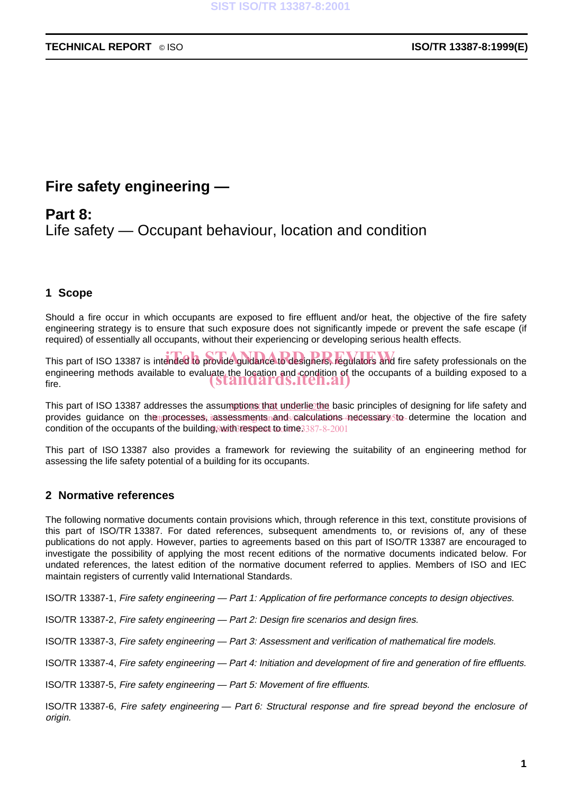## **Fire safety engineering —**

## **Part 8:** Life safety — Occupant behaviour, location and condition

### **1 Scope**

Should a fire occur in which occupants are exposed to fire effluent and/or heat, the objective of the fire safety engineering strategy is to ensure that such exposure does not significantly impede or prevent the safe escape (if required) of essentially all occupants, without their experiencing or developing serious health effects.

This part of ISO 13387 is intended to provide guidance to designers, regulators and fire safety professionals on the engineering methods available to evaluate the location and condition of the occupants of a building exposed to a<br>fire. fire.

This part of ISO 13387 addresses the assumptions that underlie the basic principles of designing for life safety and provides guidance on the processes, iassessments and calculations necessary to determine the location and condition of the occupants of the building, with respect to time 3387-8-2001

This part of ISO 13387 also provides a framework for reviewing the suitability of an engineering method for assessing the life safety potential of a building for its occupants.

#### **2 Normative references**

The following normative documents contain provisions which, through reference in this text, constitute provisions of this part of ISO/TR 13387. For dated references, subsequent amendments to, or revisions of, any of these publications do not apply. However, parties to agreements based on this part of ISO/TR 13387 are encouraged to investigate the possibility of applying the most recent editions of the normative documents indicated below. For undated references, the latest edition of the normative document referred to applies. Members of ISO and IEC maintain registers of currently valid International Standards.

ISO/TR 13387-1, Fire safety engineering — Part 1: Application of fire performance concepts to design objectives.

ISO/TR 13387-2, Fire safety engineering — Part 2: Design fire scenarios and design fires.

ISO/TR 13387-3, Fire safety engineering — Part 3: Assessment and verification of mathematical fire models.

ISO/TR 13387-4, Fire safety engineering — Part 4: Initiation and development of fire and generation of fire effluents.

ISO/TR 13387-5, Fire safety engineering — Part 5: Movement of fire effluents.

ISO/TR 13387-6, Fire safety engineering — Part 6: Structural response and fire spread beyond the enclosure of origin.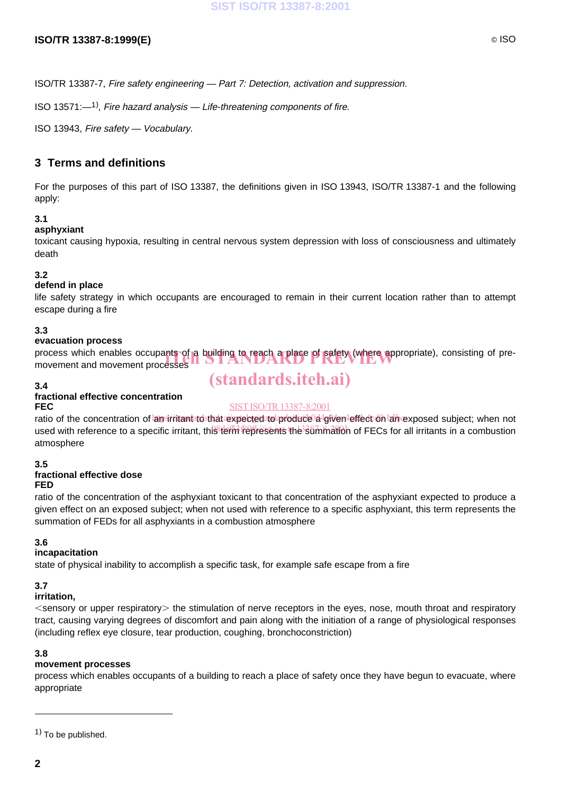#### **ISO/TR 13387-8:1999(E)** © ISO

ISO/TR 13387-7, Fire safety engineering — Part 7: Detection, activation and suppression.

ISO 13571: $-1$ <sup>1</sup>), Fire hazard analysis  $-$  Life-threatening components of fire.

ISO 13943, Fire safety — Vocabulary.

### **3 Terms and definitions**

For the purposes of this part of ISO 13387, the definitions given in ISO 13943, ISO/TR 13387-1 and the following apply:

#### **3.1**

#### **asphyxiant**

toxicant causing hypoxia, resulting in central nervous system depression with loss of consciousness and ultimately death

#### **3.2**

#### **defend in place**

life safety strategy in which occupants are encouraged to remain in their current location rather than to attempt escape during a fire

#### **3.3**

#### **evacuation process**

process which enables occupants of a building to reach a place of safety (where appropriate), consisting of pre-<br>movement and movement processes movement and movement processes

#### **3.4**

#### **fractional effective concentration FEC**

### SIST ISO/TR13387-8:2001

(standards.iteh.ai)

ratio of the concentration of amsirritantatosthat expectedato produce d4given effect on an exposed subject; when not used with reference to a specific irritant, thi<sup>g</sup> term represents the summation of FECs for all irritants in a combustion atmosphere

#### **3.5**

### **fractional effective dose**

#### **FED**

ratio of the concentration of the asphyxiant toxicant to that concentration of the asphyxiant expected to produce a given effect on an exposed subject; when not used with reference to a specific asphyxiant, this term represents the summation of FEDs for all asphyxiants in a combustion atmosphere

#### **3.6**

#### **incapacitation**

state of physical inability to accomplish a specific task, for example safe escape from a fire

#### **3.7**

#### **irritation,**

 $\le$ sensory or upper respiratory $>$  the stimulation of nerve receptors in the eyes, nose, mouth throat and respiratory tract, causing varying degrees of discomfort and pain along with the initiation of a range of physiological responses (including reflex eye closure, tear production, coughing, bronchoconstriction)

#### **3.8**

#### **movement processes**

process which enables occupants of a building to reach a place of safety once they have begun to evacuate, where appropriate

 $(1)$  To be published.

 $\overline{a}$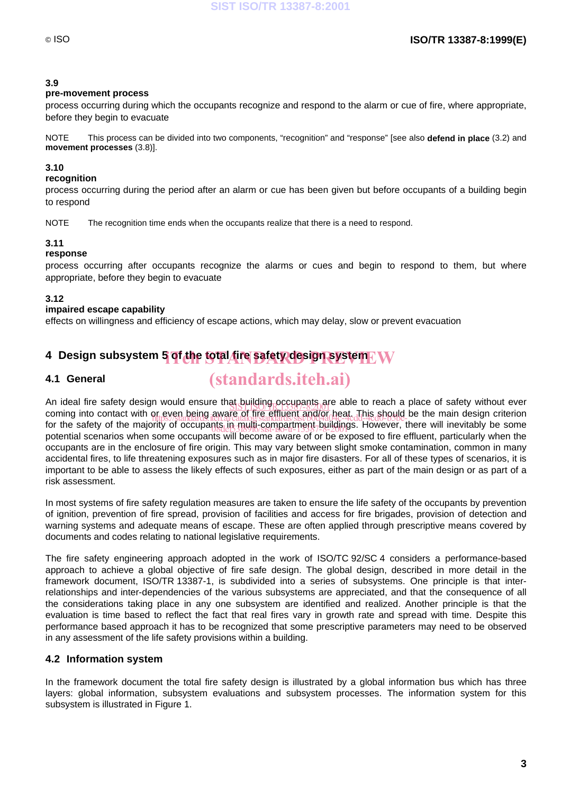#### **3.9**

#### **pre-movement process**

process occurring during which the occupants recognize and respond to the alarm or cue of fire, where appropriate, before they begin to evacuate

NOTE This process can be divided into two components, "recognition" and "response" [see also **defend in place** (3.2) and **movement processes** (3.8)].

#### **3.10**

#### **recognition**

process occurring during the period after an alarm or cue has been given but before occupants of a building begin to respond

NOTE The recognition time ends when the occupants realize that there is a need to respond.

#### **3.11**

#### **response**

process occurring after occupants recognize the alarms or cues and begin to respond to them, but where appropriate, before they begin to evacuate

#### **3.12**

#### **impaired escape capability**

effects on willingness and efficiency of escape actions, which may delay, slow or prevent evacuation

# **4 Design subsystem 5 of the total fire safety design system** iTeh STANDARD PREVIEW

#### **4.1 General**

# (standards.iteh.ai)

An ideal fire safety design would ensure that building occupants are able to reach a place of safety without ever<br>Saming into sected with as such heine supplied by Russel and This should be the main design aritarian coming into contact with or even being aware of fire effluent and/or heat. This should be the main design criterion<br>for the eatety of the mainlips://standards.iteh.av.catalog/standards/sist/b0d4a04c-4cdd-4cd0-b5be-there wi for the safety of the majority of occupants in multi-compartment-buildings. However, there will inevitably be some<br>natative constitution when come compared the south of the state of the office of the officer assignished w potential scenarios when some occupants will become aware of or be exposed to fire effluent, particularly when the occupants are in the enclosure of fire origin. This may vary between slight smoke contamination, common in many accidental fires, to life threatening exposures such as in major fire disasters. For all of these types of scenarios, it is important to be able to assess the likely effects of such exposures, either as part of the main design or as part of a risk assessment.

In most systems of fire safety regulation measures are taken to ensure the life safety of the occupants by prevention of ignition, prevention of fire spread, provision of facilities and access for fire brigades, provision of detection and warning systems and adequate means of escape. These are often applied through prescriptive means covered by documents and codes relating to national legislative requirements.

The fire safety engineering approach adopted in the work of ISO/TC 92/SC 4 considers a performance-based approach to achieve a global objective of fire safe design. The global design, described in more detail in the framework document, ISO/TR 13387-1, is subdivided into a series of subsystems. One principle is that interrelationships and inter-dependencies of the various subsystems are appreciated, and that the consequence of all the considerations taking place in any one subsystem are identified and realized. Another principle is that the evaluation is time based to reflect the fact that real fires vary in growth rate and spread with time. Despite this performance based approach it has to be recognized that some prescriptive parameters may need to be observed in any assessment of the life safety provisions within a building.

#### **4.2 Information system**

In the framework document the total fire safety design is illustrated by a global information bus which has three layers: global information, subsystem evaluations and subsystem processes. The information system for this subsystem is illustrated in Figure 1.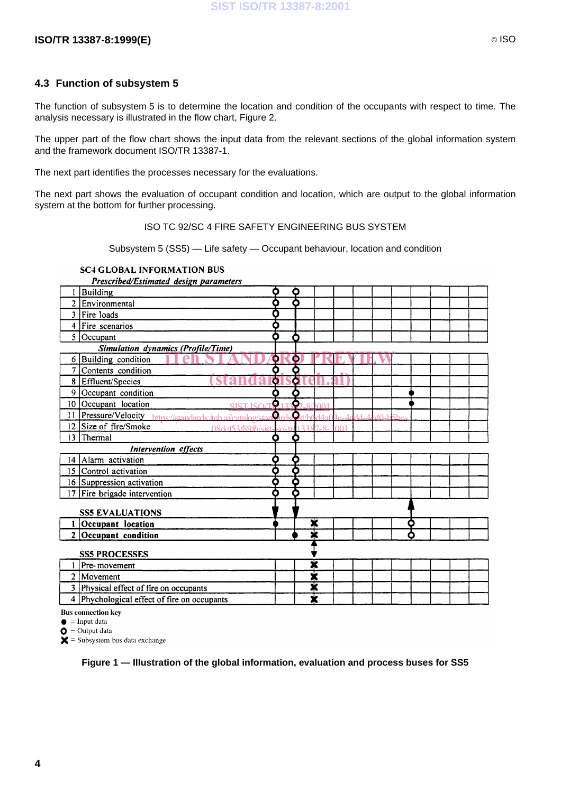#### **4.3 Function of subsystem 5**

The function of subsystem 5 is to determine the location and condition of the occupants with respect to time. The analysis necessary is illustrated in the flow chart, Figure 2.

The upper part of the flow chart shows the input data from the relevant sections of the global information system and the framework document ISO/TR 13387-1.

The next part identifies the processes necessary for the evaluations.

The next part shows the evaluation of occupant condition and location, which are output to the global information system at the bottom for further processing.

ISO TC 92/SC 4 FIRE SAFETY ENGINEERING BUS SYSTEM

Subsystem 5 (SS5) — Life safety — Occupant behaviour, location and condition

#### **SC4 GLOBAL INFORMATION BUS**

Prescribed/Estimated design parameters I Building Ò Ò 2 Environmental ō δ Λ  $3$  Fire loads 4 Fire scenarios δ ō  $5$  Occupant **iTeh STANDARD PREVIEW**  $6$  Building condition 7 Contents condition (standardsdteh.ai) 8 Effluent/Species 9 Occupant condition 10 Occupant location SIST ISO/TR<sup>133</sup>87-8:2001 https://standards.iteh.ai/catalog/stan**d**ards/st/b0d4a04c-4cdd-4cd0-b5be-08def53f89f6/sist-iso-tr-13387-8-2001 13 Thermal **Intervention** effects  $14$  Alarm activation Ò 15 Control activation ċ 16 Suppression activation Ò 17 Fire brigade intervention O **SS5 EVALUATIONS**  $1$  Occupant location  $2$  Occupant condition **SS5 PROCESSES** X  $1$  Pre-movement 2 Movement X 3 Physical effect of fire on occupants ☀ 4 Phychological effect of fire on occupants Ж

**Bus connection key** 

 $\bullet$  = Input data

 $\bullet$  = Output data

 $\mathsf{X}$  = Subsystem bus data exchange

**Figure 1 — Illustration of the global information, evaluation and process buses for SS5**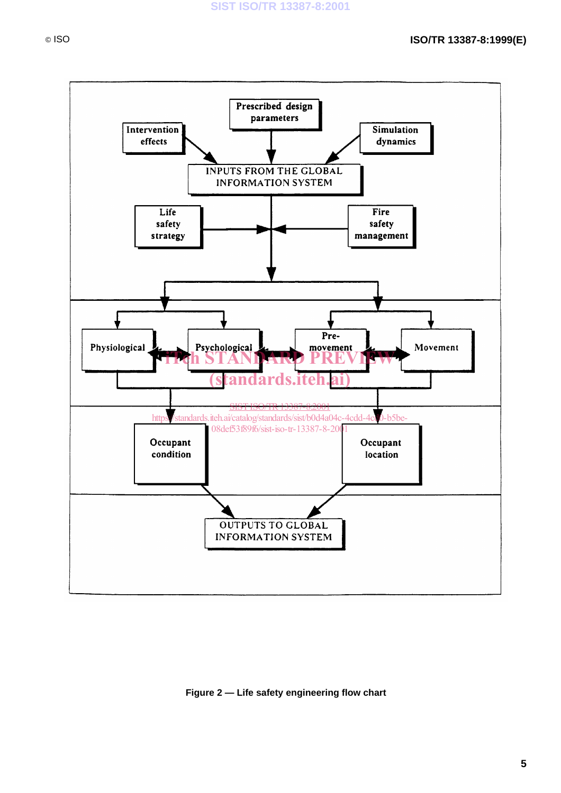

#### **Figure 2 — Life safety engineering flow chart**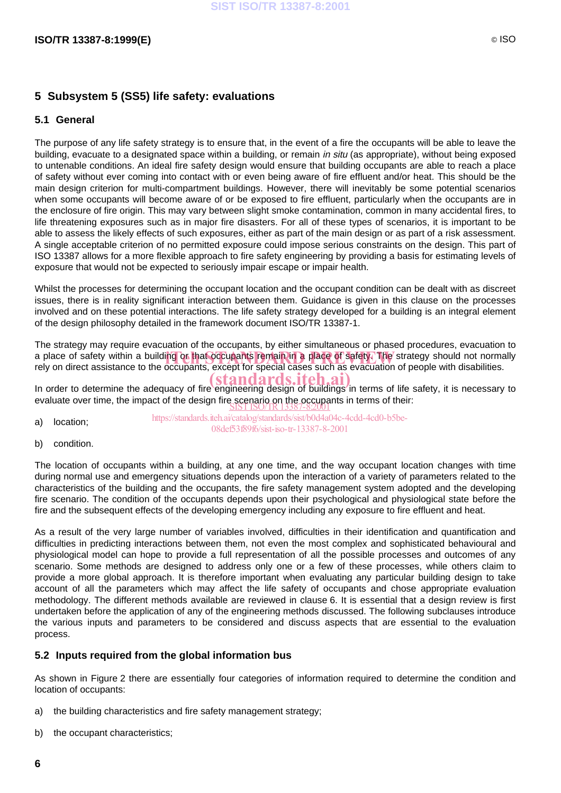### **5 Subsystem 5 (SS5) life safety: evaluations**

#### **5.1 General**

The purpose of any life safety strategy is to ensure that, in the event of a fire the occupants will be able to leave the building, evacuate to a designated space within a building, or remain in situ (as appropriate), without being exposed to untenable conditions. An ideal fire safety design would ensure that building occupants are able to reach a place of safety without ever coming into contact with or even being aware of fire effluent and/or heat. This should be the main design criterion for multi-compartment buildings. However, there will inevitably be some potential scenarios when some occupants will become aware of or be exposed to fire effluent, particularly when the occupants are in the enclosure of fire origin. This may vary between slight smoke contamination, common in many accidental fires, to life threatening exposures such as in major fire disasters. For all of these types of scenarios, it is important to be able to assess the likely effects of such exposures, either as part of the main design or as part of a risk assessment. A single acceptable criterion of no permitted exposure could impose serious constraints on the design. This part of ISO 13387 allows for a more flexible approach to fire safety engineering by providing a basis for estimating levels of exposure that would not be expected to seriously impair escape or impair health.

Whilst the processes for determining the occupant location and the occupant condition can be dealt with as discreet issues, there is in reality significant interaction between them. Guidance is given in this clause on the processes involved and on these potential interactions. The life safety strategy developed for a building is an integral element of the design philosophy detailed in the framework document ISO/TR 13387-1.

The strategy may require evacuation of the occupants, by either simultaneous or phased procedures, evacuation to a place of safety within a building or that occupants remain in a place of safety. The strategy should not normally<br>rely on direct assistance to the occupants, except for special cases such as evacuation of people with dis rely on direct assistance to the occupants, except for special cases such as evacuation of people with disabilities.

In order to determine the adequacy of fire engineering design of buildings in terms of life safety, it is necessary to evaluate over time, the impact of the design fire scenario on the occupants in terms of their:<br>SIST ISO/TR 13387-8:2001

- a) location; https://standards.iteh.ai/catalog/standards/sist/b0d4a04c-4cdd-4cd0-b5be-08def53f89f6/sist-iso-tr-13387-8-2001
- b) condition.

The location of occupants within a building, at any one time, and the way occupant location changes with time during normal use and emergency situations depends upon the interaction of a variety of parameters related to the characteristics of the building and the occupants, the fire safety management system adopted and the developing fire scenario. The condition of the occupants depends upon their psychological and physiological state before the fire and the subsequent effects of the developing emergency including any exposure to fire effluent and heat.

As a result of the very large number of variables involved, difficulties in their identification and quantification and difficulties in predicting interactions between them, not even the most complex and sophisticated behavioural and physiological model can hope to provide a full representation of all the possible processes and outcomes of any scenario. Some methods are designed to address only one or a few of these processes, while others claim to provide a more global approach. It is therefore important when evaluating any particular building design to take account of all the parameters which may affect the life safety of occupants and chose appropriate evaluation methodology. The different methods available are reviewed in clause 6. It is essential that a design review is first undertaken before the application of any of the engineering methods discussed. The following subclauses introduce the various inputs and parameters to be considered and discuss aspects that are essential to the evaluation process.

#### **5.2 Inputs required from the global information bus**

As shown in Figure 2 there are essentially four categories of information required to determine the condition and location of occupants:

- a) the building characteristics and fire safety management strategy;
- b) the occupant characteristics;